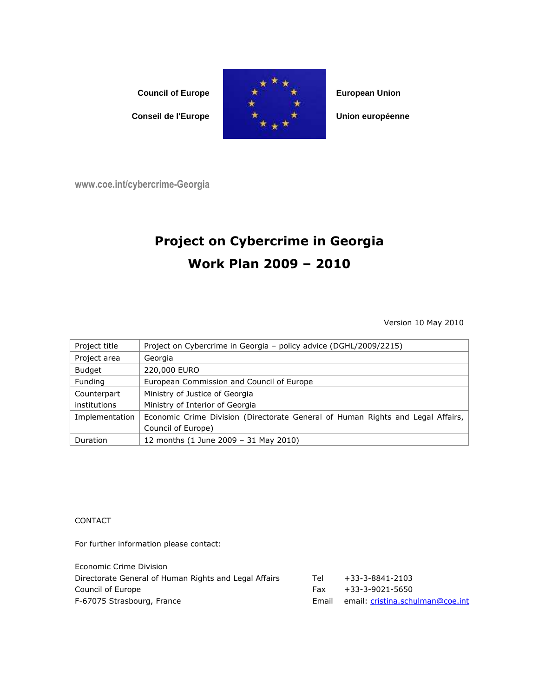

www.coe.int/cybercrime-Georgia

## Project on Cybercrime in Georgia Work Plan 2009 – 2010

Version 10 May 2010

| Project title  | Project on Cybercrime in Georgia - policy advice (DGHL/2009/2215)               |
|----------------|---------------------------------------------------------------------------------|
| Project area   | Georgia                                                                         |
| <b>Budget</b>  | 220,000 EURO                                                                    |
| Funding        | European Commission and Council of Europe                                       |
| Counterpart    | Ministry of Justice of Georgia                                                  |
| institutions   | Ministry of Interior of Georgia                                                 |
| Implementation | Economic Crime Division (Directorate General of Human Rights and Legal Affairs, |
|                | Council of Europe)                                                              |
| Duration       | 12 months (1 June 2009 - 31 May 2010)                                           |

**CONTACT** 

For further information please contact:

| Tel   | +33-3-8841-2103                  |
|-------|----------------------------------|
| Fax   | +33-3-9021-5650                  |
| Email | email: cristina.schulman@coe.int |
|       |                                  |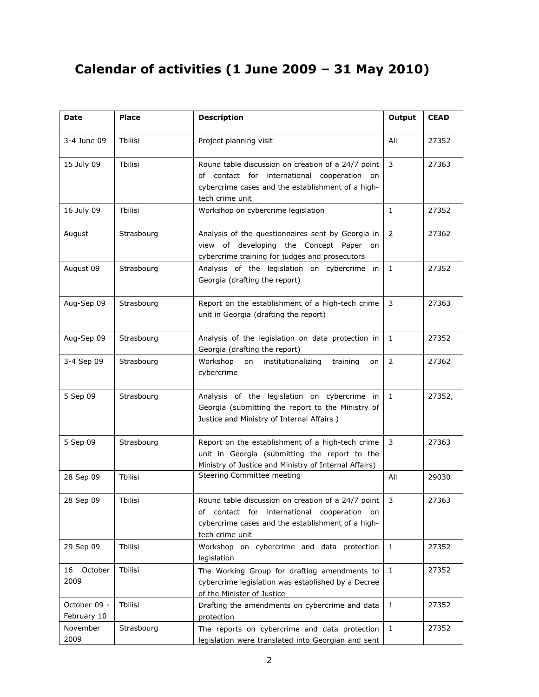## Calendar of activities (1 June 2009 – 31 May 2010)

| <b>Date</b>                 | <b>Place</b> | <b>Description</b>                                                                                                                                                           | Output         | <b>CEAD</b> |
|-----------------------------|--------------|------------------------------------------------------------------------------------------------------------------------------------------------------------------------------|----------------|-------------|
| 3-4 June 09                 | Thilisi      | Project planning visit                                                                                                                                                       | All            | 27352       |
| 15 July 09                  | Tbilisi      | Round table discussion on creation of a 24/7 point<br>of contact for international<br>cooperation on<br>cybercrime cases and the establishment of a high-<br>tech crime unit | 3              | 27363       |
| 16 July 09                  | Tbilisi      | Workshop on cybercrime legislation                                                                                                                                           | $\mathbf{1}$   | 27352       |
| August                      | Strasbourg   | Analysis of the questionnaires sent by Georgia in<br>view of developing the Concept Paper on<br>cybercrime training for judges and prosecutors                               | $\overline{2}$ | 27362       |
| August 09                   | Strasbourg   | Analysis of the legislation on cybercrime in<br>Georgia (drafting the report)                                                                                                | $\mathbf{1}$   | 27352       |
| Aug-Sep 09                  | Strasbourg   | Report on the establishment of a high-tech crime<br>unit in Georgia (drafting the report)                                                                                    | 3              | 27363       |
| Aug-Sep 09                  | Strasbourg   | Analysis of the legislation on data protection in<br>Georgia (drafting the report)                                                                                           | $\mathbf{1}$   | 27352       |
| 3-4 Sep 09                  | Strasbourg   | Workshop<br>on<br>institutionalizing<br>training<br>on<br>cybercrime                                                                                                         | $\overline{2}$ | 27362       |
| 5 Sep 09                    | Strasbourg   | Analysis of the legislation on cybercrime in<br>Georgia (submitting the report to the Ministry of<br>Justice and Ministry of Internal Affairs)                               | $\mathbf{1}$   | 27352,      |
| 5 Sep 09                    | Strasbourg   | Report on the establishment of a high-tech crime<br>unit in Georgia (submitting the report to the<br>Ministry of Justice and Ministry of Internal Affairs)                   | 3              | 27363       |
| 28 Sep 09                   | Tbilisi      | Steering Committee meeting                                                                                                                                                   | All            | 29030       |
| 28 Sep 09                   | Tbilisi      | Round table discussion on creation of a 24/7 point<br>contact for international cooperation on<br>οf<br>cybercrime cases and the establishment of a high-<br>tech crime unit | 3              | 27363       |
| 29 Sep 09                   | Tbilisi      | Workshop on cybercrime and data protection<br>legislation                                                                                                                    | $\mathbf{1}$   | 27352       |
| 16<br>October<br>2009       | Tbilisi      | The Working Group for drafting amendments to<br>cybercrime legislation was established by a Decree<br>of the Minister of Justice                                             | 1              | 27352       |
| October 09 -<br>February 10 | Tbilisi      | Drafting the amendments on cybercrime and data<br>protection                                                                                                                 | 1              | 27352       |
| November<br>2009            | Strasbourg   | The reports on cybercrime and data protection<br>legislation were translated into Georgian and sent                                                                          | $\mathbf{1}$   | 27352       |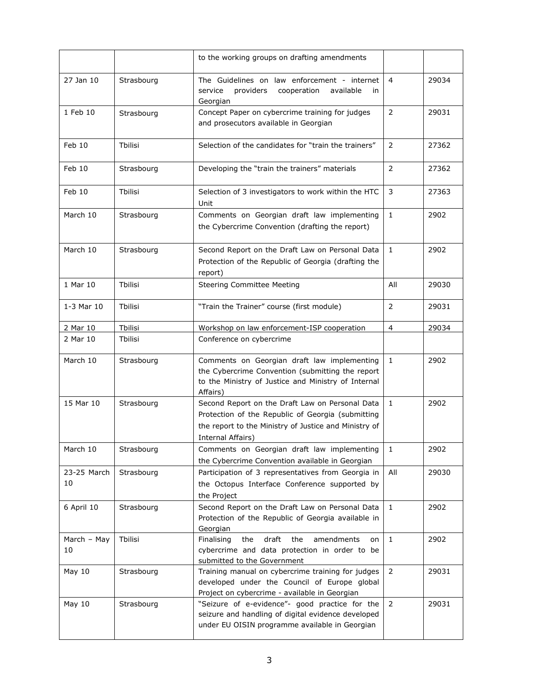|                   |            | to the working groups on drafting amendments                                                                                                                                       |                |       |
|-------------------|------------|------------------------------------------------------------------------------------------------------------------------------------------------------------------------------------|----------------|-------|
| 27 Jan 10         | Strasbourg | The Guidelines on law enforcement - internet<br>providers<br>cooperation<br>available<br>service<br>in<br>Georgian                                                                 | 4              | 29034 |
| 1 Feb 10          | Strasbourg | Concept Paper on cybercrime training for judges<br>and prosecutors available in Georgian                                                                                           | $\overline{2}$ | 29031 |
| Feb 10            | Tbilisi    | Selection of the candidates for "train the trainers"                                                                                                                               | $\overline{2}$ | 27362 |
| Feb 10            | Strasbourg | Developing the "train the trainers" materials                                                                                                                                      | $\overline{2}$ | 27362 |
| Feb 10            | Thilisi    | Selection of 3 investigators to work within the HTC<br>Unit                                                                                                                        | 3              | 27363 |
| March 10          | Strasbourg | Comments on Georgian draft law implementing<br>the Cybercrime Convention (drafting the report)                                                                                     | $\mathbf{1}$   | 2902  |
| March 10          | Strasbourg | Second Report on the Draft Law on Personal Data<br>Protection of the Republic of Georgia (drafting the<br>report)                                                                  | $\mathbf{1}$   | 2902  |
| 1 Mar 10          | Tbilisi    | <b>Steering Committee Meeting</b>                                                                                                                                                  | All            | 29030 |
| 1-3 Mar 10        | Tbilisi    | "Train the Trainer" course (first module)                                                                                                                                          | $\overline{2}$ | 29031 |
| 2 Mar 10          | Tbilisi    | Workshop on law enforcement-ISP cooperation                                                                                                                                        | $\overline{4}$ | 29034 |
| 2 Mar 10          | Tbilisi    | Conference on cybercrime                                                                                                                                                           |                |       |
| March 10          | Strasbourg | Comments on Georgian draft law implementing<br>the Cybercrime Convention (submitting the report<br>to the Ministry of Justice and Ministry of Internal<br>Affairs)                 | $\mathbf{1}$   | 2902  |
| 15 Mar 10         | Strasbourg | Second Report on the Draft Law on Personal Data<br>Protection of the Republic of Georgia (submitting<br>the report to the Ministry of Justice and Ministry of<br>Internal Affairs) | $\mathbf{1}$   | 2902  |
| March 10          | Strasbourg | Comments on Georgian draft law implementing<br>the Cybercrime Convention available in Georgian                                                                                     | 1              | 2902  |
| 23-25 March<br>10 | Strasbourg | Participation of 3 representatives from Georgia in<br>the Octopus Interface Conference supported by<br>the Project                                                                 | All            | 29030 |
| 6 April 10        | Strasbourg | Second Report on the Draft Law on Personal Data<br>Protection of the Republic of Georgia available in<br>Georgian                                                                  | $\mathbf{1}$   | 2902  |
| March - May<br>10 | Tbilisi    | the<br>draft<br>the<br>Finalising<br>amendments<br>on<br>cybercrime and data protection in order to be<br>submitted to the Government                                              | $\mathbf{1}$   | 2902  |
| May 10            | Strasbourg | Training manual on cybercrime training for judges<br>developed under the Council of Europe global<br>Project on cybercrime - available in Georgian                                 | 2              | 29031 |
| May 10            | Strasbourg | "Seizure of e-evidence"- good practice for the<br>seizure and handling of digital evidence developed<br>under EU OISIN programme available in Georgian                             | $\overline{2}$ | 29031 |